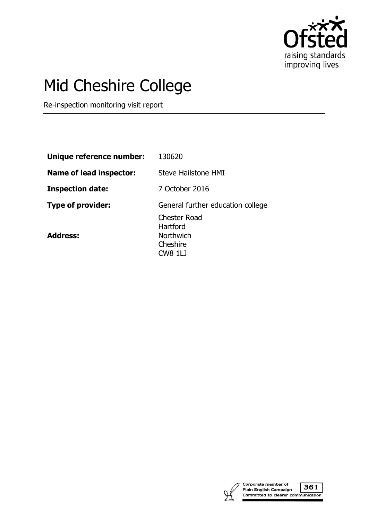

# Mid Cheshire College

Re-inspection monitoring visit report

| Unique reference number: | 130620                                                                            |
|--------------------------|-----------------------------------------------------------------------------------|
| Name of lead inspector:  | Steve Hailstone HMI                                                               |
| <b>Inspection date:</b>  | 7 October 2016                                                                    |
| Type of provider:        | General further education college                                                 |
| <b>Address:</b>          | <b>Chester Road</b><br>Hartford<br><b>Northwich</b><br>Cheshire<br><b>CW8 1LJ</b> |



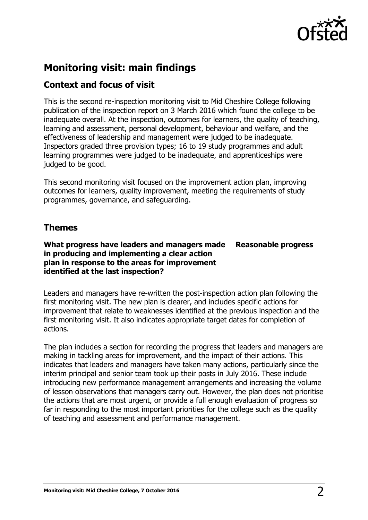

# **Monitoring visit: main findings**

# **Context and focus of visit**

This is the second re-inspection monitoring visit to Mid Cheshire College following publication of the inspection report on 3 March 2016 which found the college to be inadequate overall. At the inspection, outcomes for learners, the quality of teaching, learning and assessment, personal development, behaviour and welfare, and the effectiveness of leadership and management were judged to be inadequate. Inspectors graded three provision types; 16 to 19 study programmes and adult learning programmes were judged to be inadequate, and apprenticeships were judged to be good.

This second monitoring visit focused on the improvement action plan, improving outcomes for learners, quality improvement, meeting the requirements of study programmes, governance, and safeguarding.

# **Themes**

**What progress have leaders and managers made in producing and implementing a clear action plan in response to the areas for improvement identified at the last inspection? Reasonable progress**

Leaders and managers have re-written the post-inspection action plan following the first monitoring visit. The new plan is clearer, and includes specific actions for improvement that relate to weaknesses identified at the previous inspection and the first monitoring visit. It also indicates appropriate target dates for completion of actions.

The plan includes a section for recording the progress that leaders and managers are making in tackling areas for improvement, and the impact of their actions. This indicates that leaders and managers have taken many actions, particularly since the interim principal and senior team took up their posts in July 2016. These include introducing new performance management arrangements and increasing the volume of lesson observations that managers carry out. However, the plan does not prioritise the actions that are most urgent, or provide a full enough evaluation of progress so far in responding to the most important priorities for the college such as the quality of teaching and assessment and performance management.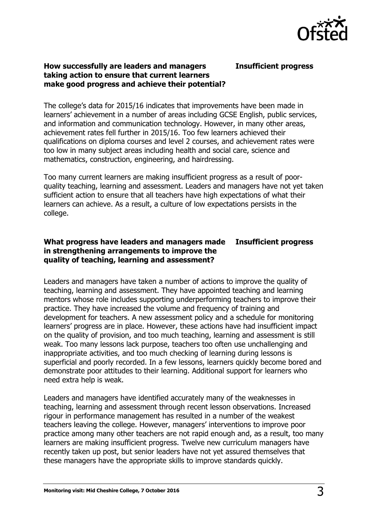

## **How successfully are leaders and managers taking action to ensure that current learners make good progress and achieve their potential?**

**Insufficient progress**

The college's data for 2015/16 indicates that improvements have been made in learners' achievement in a number of areas including GCSE English, public services, and information and communication technology. However, in many other areas, achievement rates fell further in 2015/16. Too few learners achieved their qualifications on diploma courses and level 2 courses, and achievement rates were too low in many subject areas including health and social care, science and mathematics, construction, engineering, and hairdressing.

Too many current learners are making insufficient progress as a result of poorquality teaching, learning and assessment. Leaders and managers have not yet taken sufficient action to ensure that all teachers have high expectations of what their learners can achieve. As a result, a culture of low expectations persists in the college.

#### **What progress have leaders and managers made in strengthening arrangements to improve the quality of teaching, learning and assessment? Insufficient progress**

Leaders and managers have taken a number of actions to improve the quality of teaching, learning and assessment. They have appointed teaching and learning mentors whose role includes supporting underperforming teachers to improve their practice. They have increased the volume and frequency of training and development for teachers. A new assessment policy and a schedule for monitoring learners' progress are in place. However, these actions have had insufficient impact on the quality of provision, and too much teaching, learning and assessment is still weak. Too many lessons lack purpose, teachers too often use unchallenging and inappropriate activities, and too much checking of learning during lessons is superficial and poorly recorded. In a few lessons, learners quickly become bored and demonstrate poor attitudes to their learning. Additional support for learners who need extra help is weak.

Leaders and managers have identified accurately many of the weaknesses in teaching, learning and assessment through recent lesson observations. Increased rigour in performance management has resulted in a number of the weakest teachers leaving the college. However, managers' interventions to improve poor practice among many other teachers are not rapid enough and, as a result, too many learners are making insufficient progress. Twelve new curriculum managers have recently taken up post, but senior leaders have not yet assured themselves that these managers have the appropriate skills to improve standards quickly.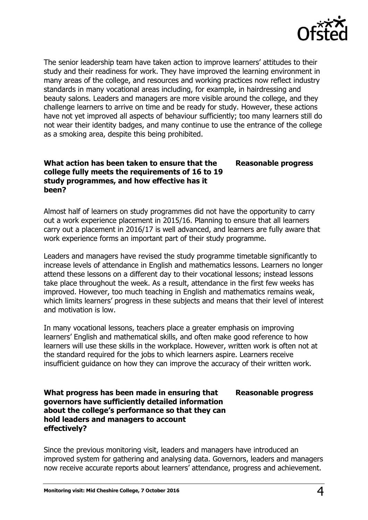

The senior leadership team have taken action to improve learners' attitudes to their study and their readiness for work. They have improved the learning environment in many areas of the college, and resources and working practices now reflect industry standards in many vocational areas including, for example, in hairdressing and beauty salons. Leaders and managers are more visible around the college, and they challenge learners to arrive on time and be ready for study. However, these actions have not yet improved all aspects of behaviour sufficiently; too many learners still do not wear their identity badges, and many continue to use the entrance of the college as a smoking area, despite this being prohibited.

## **What action has been taken to ensure that the college fully meets the requirements of 16 to 19 study programmes, and how effective has it been?**

Almost half of learners on study programmes did not have the opportunity to carry out a work experience placement in 2015/16. Planning to ensure that all learners carry out a placement in 2016/17 is well advanced, and learners are fully aware that work experience forms an important part of their study programme.

Leaders and managers have revised the study programme timetable significantly to increase levels of attendance in English and mathematics lessons. Learners no longer attend these lessons on a different day to their vocational lessons; instead lessons take place throughout the week. As a result, attendance in the first few weeks has improved. However, too much teaching in English and mathematics remains weak, which limits learners' progress in these subjects and means that their level of interest and motivation is low.

In many vocational lessons, teachers place a greater emphasis on improving learners' English and mathematical skills, and often make good reference to how learners will use these skills in the workplace. However, written work is often not at the standard required for the jobs to which learners aspire. Learners receive insufficient guidance on how they can improve the accuracy of their written work.

## **What progress has been made in ensuring that governors have sufficiently detailed information about the college's performance so that they can hold leaders and managers to account effectively?**

## **Reasonable progress**

**Reasonable progress**

Since the previous monitoring visit, leaders and managers have introduced an improved system for gathering and analysing data. Governors, leaders and managers now receive accurate reports about learners' attendance, progress and achievement.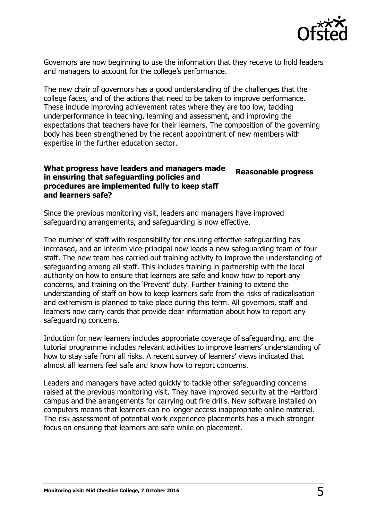

Governors are now beginning to use the information that they receive to hold leaders and managers to account for the college's performance.

The new chair of governors has a good understanding of the challenges that the college faces, and of the actions that need to be taken to improve performance. These include improving achievement rates where they are too low, tackling underperformance in teaching, learning and assessment, and improving the expectations that teachers have for their learners. The composition of the governing body has been strengthened by the recent appointment of new members with expertise in the further education sector.

#### **What progress have leaders and managers made in ensuring that safeguarding policies and procedures are implemented fully to keep staff and learners safe? Reasonable progress**

Since the previous monitoring visit, leaders and managers have improved safeguarding arrangements, and safeguarding is now effective.

The number of staff with responsibility for ensuring effective safeguarding has increased, and an interim vice-principal now leads a new safeguarding team of four staff. The new team has carried out training activity to improve the understanding of safeguarding among all staff. This includes training in partnership with the local authority on how to ensure that learners are safe and know how to report any concerns, and training on the 'Prevent' duty. Further training to extend the understanding of staff on how to keep learners safe from the risks of radicalisation and extremism is planned to take place during this term. All governors, staff and learners now carry cards that provide clear information about how to report any safeguarding concerns.

Induction for new learners includes appropriate coverage of safeguarding, and the tutorial programme includes relevant activities to improve learners' understanding of how to stay safe from all risks. A recent survey of learners' views indicated that almost all learners feel safe and know how to report concerns.

Leaders and managers have acted quickly to tackle other safeguarding concerns raised at the previous monitoring visit. They have improved security at the Hartford campus and the arrangements for carrying out fire drills. New software installed on computers means that learners can no longer access inappropriate online material. The risk assessment of potential work experience placements has a much stronger focus on ensuring that learners are safe while on placement.